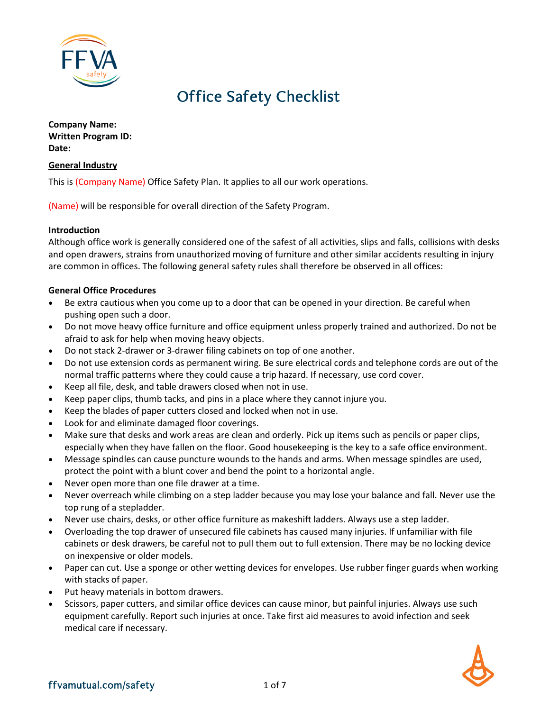

# Office Safety Checklist

**Company Name: Written Program ID: Date:**

### **General Industry**

This is (Company Name) Office Safety Plan. It applies to all our work operations.

(Name) will be responsible for overall direction of the Safety Program.

### **Introduction**

Although office work is generally considered one of the safest of all activities, slips and falls, collisions with desks and open drawers, strains from unauthorized moving of furniture and other similar accidents resulting in injury are common in offices. The following general safety rules shall therefore be observed in all offices:

### **General Office Procedures**

- Be extra cautious when you come up to a door that can be opened in your direction. Be careful when pushing open such a door.
- Do not move heavy office furniture and office equipment unless properly trained and authorized. Do not be afraid to ask for help when moving heavy objects.
- Do not stack 2-drawer or 3-drawer filing cabinets on top of one another.
- Do not use extension cords as permanent wiring. Be sure electrical cords and telephone cords are out of the normal traffic patterns where they could cause a trip hazard. If necessary, use cord cover.
- Keep all file, desk, and table drawers closed when not in use.
- Keep paper clips, thumb tacks, and pins in a place where they cannot injure you.
- Keep the blades of paper cutters closed and locked when not in use.
- Look for and eliminate damaged floor coverings.
- Make sure that desks and work areas are clean and orderly. Pick up items such as pencils or paper clips, especially when they have fallen on the floor. Good housekeeping is the key to a safe office environment.
- Message spindles can cause puncture wounds to the hands and arms. When message spindles are used, protect the point with a blunt cover and bend the point to a horizontal angle.
- Never open more than one file drawer at a time.
- Never overreach while climbing on a step ladder because you may lose your balance and fall. Never use the top rung of a stepladder.
- Never use chairs, desks, or other office furniture as makeshift ladders. Always use a step ladder.
- Overloading the top drawer of unsecured file cabinets has caused many injuries. If unfamiliar with file cabinets or desk drawers, be careful not to pull them out to full extension. There may be no locking device on inexpensive or older models.
- Paper can cut. Use a sponge or other wetting devices for envelopes. Use rubber finger guards when working with stacks of paper.
- Put heavy materials in bottom drawers.
- Scissors, paper cutters, and similar office devices can cause minor, but painful injuries. Always use such equipment carefully. Report such injuries at once. Take first aid measures to avoid infection and seek medical care if necessary.

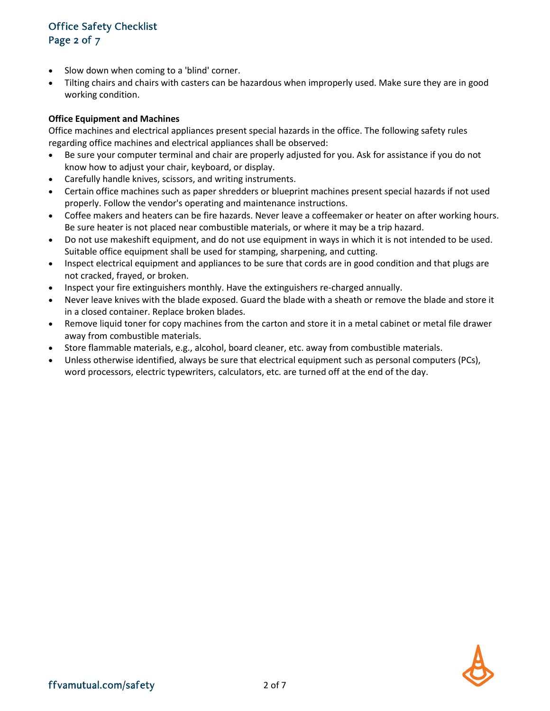# Office Safety Checklist Page 2 of 7

- Slow down when coming to a 'blind' corner.
- Tilting chairs and chairs with casters can be hazardous when improperly used. Make sure they are in good working condition.

### **Office Equipment and Machines**

Office machines and electrical appliances present special hazards in the office. The following safety rules regarding office machines and electrical appliances shall be observed:

- Be sure your computer terminal and chair are properly adjusted for you. Ask for assistance if you do not know how to adjust your chair, keyboard, or display.
- Carefully handle knives, scissors, and writing instruments.
- Certain office machines such as paper shredders or blueprint machines present special hazards if not used properly. Follow the vendor's operating and maintenance instructions.
- Coffee makers and heaters can be fire hazards. Never leave a coffeemaker or heater on after working hours. Be sure heater is not placed near combustible materials, or where it may be a trip hazard.
- Do not use makeshift equipment, and do not use equipment in ways in which it is not intended to be used. Suitable office equipment shall be used for stamping, sharpening, and cutting.
- Inspect electrical equipment and appliances to be sure that cords are in good condition and that plugs are not cracked, frayed, or broken.
- Inspect your fire extinguishers monthly. Have the extinguishers re-charged annually.
- Never leave knives with the blade exposed. Guard the blade with a sheath or remove the blade and store it in a closed container. Replace broken blades.
- Remove liquid toner for copy machines from the carton and store it in a metal cabinet or metal file drawer away from combustible materials.
- Store flammable materials, e.g., alcohol, board cleaner, etc. away from combustible materials.
- Unless otherwise identified, always be sure that electrical equipment such as personal computers (PCs), word processors, electric typewriters, calculators, etc. are turned off at the end of the day.

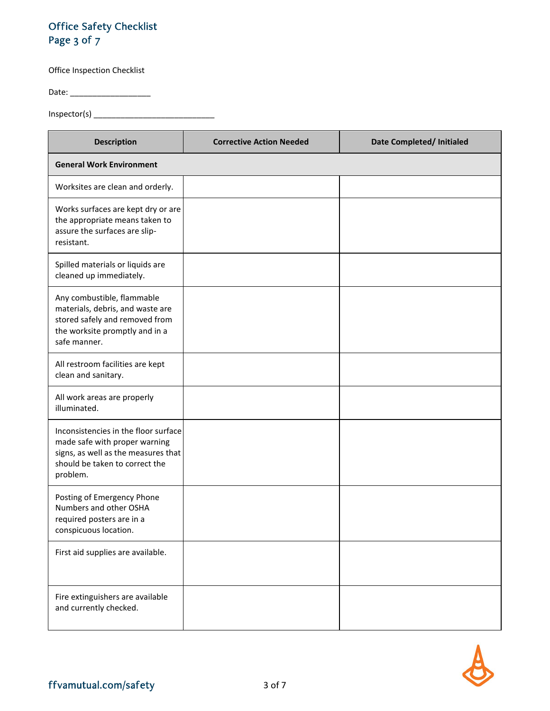# Office Safety Checklist Page 3 of 7

Office Inspection Checklist

Date: \_\_\_\_\_\_\_\_\_\_\_\_\_\_\_\_\_\_

Inspector(s) \_\_\_\_\_\_\_\_\_\_\_\_\_\_\_\_\_\_\_\_\_\_\_\_\_\_\_

| <b>Description</b>                                                                                                                                         | <b>Corrective Action Needed</b> | Date Completed/ Initialed |
|------------------------------------------------------------------------------------------------------------------------------------------------------------|---------------------------------|---------------------------|
| <b>General Work Environment</b>                                                                                                                            |                                 |                           |
| Worksites are clean and orderly.                                                                                                                           |                                 |                           |
| Works surfaces are kept dry or are<br>the appropriate means taken to<br>assure the surfaces are slip-<br>resistant.                                        |                                 |                           |
| Spilled materials or liquids are<br>cleaned up immediately.                                                                                                |                                 |                           |
| Any combustible, flammable<br>materials, debris, and waste are<br>stored safely and removed from<br>the worksite promptly and in a<br>safe manner.         |                                 |                           |
| All restroom facilities are kept<br>clean and sanitary.                                                                                                    |                                 |                           |
| All work areas are properly<br>illuminated.                                                                                                                |                                 |                           |
| Inconsistencies in the floor surface<br>made safe with proper warning<br>signs, as well as the measures that<br>should be taken to correct the<br>problem. |                                 |                           |
| Posting of Emergency Phone<br>Numbers and other OSHA<br>required posters are in a<br>conspicuous location.                                                 |                                 |                           |
| First aid supplies are available.                                                                                                                          |                                 |                           |
| Fire extinguishers are available<br>and currently checked.                                                                                                 |                                 |                           |

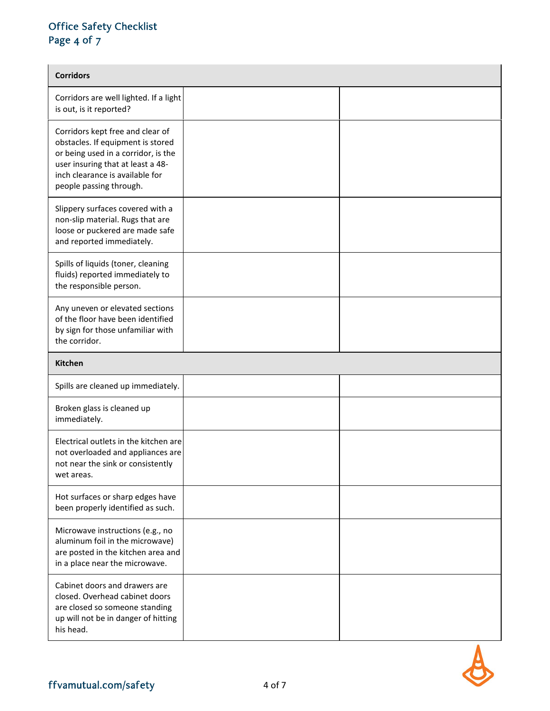# Office Safety Checklist Page 4 of 7

| <b>Corridors</b>                                                                                                                                                                                                |  |  |  |
|-----------------------------------------------------------------------------------------------------------------------------------------------------------------------------------------------------------------|--|--|--|
| Corridors are well lighted. If a light<br>is out, is it reported?                                                                                                                                               |  |  |  |
| Corridors kept free and clear of<br>obstacles. If equipment is stored<br>or being used in a corridor, is the<br>user insuring that at least a 48-<br>inch clearance is available for<br>people passing through. |  |  |  |
| Slippery surfaces covered with a<br>non-slip material. Rugs that are<br>loose or puckered are made safe<br>and reported immediately.                                                                            |  |  |  |
| Spills of liquids (toner, cleaning<br>fluids) reported immediately to<br>the responsible person.                                                                                                                |  |  |  |
| Any uneven or elevated sections<br>of the floor have been identified<br>by sign for those unfamiliar with<br>the corridor.                                                                                      |  |  |  |
| <b>Kitchen</b>                                                                                                                                                                                                  |  |  |  |
|                                                                                                                                                                                                                 |  |  |  |
| Spills are cleaned up immediately.                                                                                                                                                                              |  |  |  |
| Broken glass is cleaned up<br>immediately.                                                                                                                                                                      |  |  |  |
| Electrical outlets in the kitchen are<br>not overloaded and appliances are<br>not near the sink or consistently<br>wet areas.                                                                                   |  |  |  |
| Hot surfaces or sharp edges have<br>been properly identified as such.                                                                                                                                           |  |  |  |
| Microwave instructions (e.g., no<br>aluminum foil in the microwave)<br>are posted in the kitchen area and<br>in a place near the microwave.                                                                     |  |  |  |

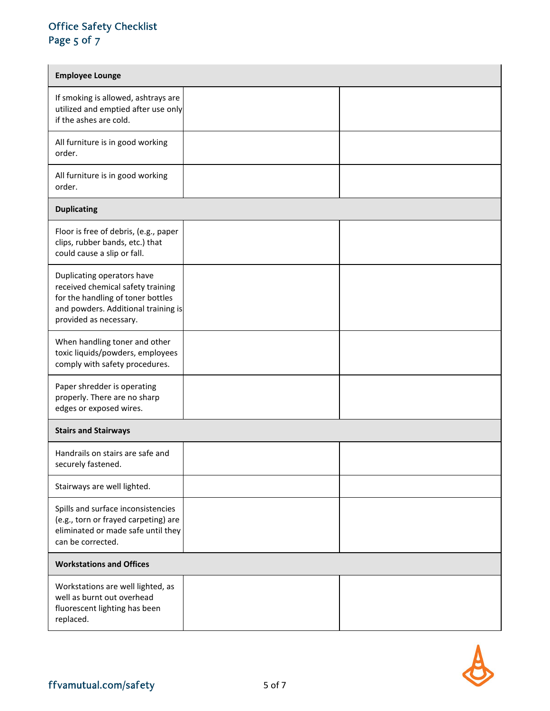### Office Safety Checklist Page 5 of 7

| <b>Employee Lounge</b>                                                                                                                                                |  |  |
|-----------------------------------------------------------------------------------------------------------------------------------------------------------------------|--|--|
| If smoking is allowed, ashtrays are<br>utilized and emptied after use only<br>if the ashes are cold.                                                                  |  |  |
| All furniture is in good working<br>order.                                                                                                                            |  |  |
| All furniture is in good working<br>order.                                                                                                                            |  |  |
| <b>Duplicating</b>                                                                                                                                                    |  |  |
| Floor is free of debris, (e.g., paper<br>clips, rubber bands, etc.) that<br>could cause a slip or fall.                                                               |  |  |
| Duplicating operators have<br>received chemical safety training<br>for the handling of toner bottles<br>and powders. Additional training is<br>provided as necessary. |  |  |
| When handling toner and other<br>toxic liquids/powders, employees<br>comply with safety procedures.                                                                   |  |  |
| Paper shredder is operating<br>properly. There are no sharp<br>edges or exposed wires.                                                                                |  |  |
| <b>Stairs and Stairways</b>                                                                                                                                           |  |  |
| Handrails on stairs are safe and<br>securely fastened.                                                                                                                |  |  |
| Stairways are well lighted.                                                                                                                                           |  |  |
| Spills and surface inconsistencies<br>(e.g., torn or frayed carpeting) are<br>eliminated or made safe until they<br>can be corrected.                                 |  |  |
| <b>Workstations and Offices</b>                                                                                                                                       |  |  |
| Workstations are well lighted, as<br>well as burnt out overhead<br>fluorescent lighting has been<br>replaced.                                                         |  |  |

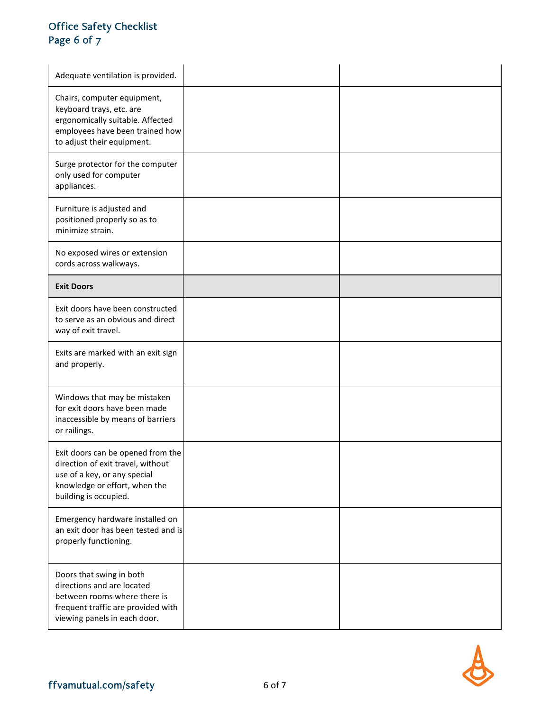# Office Safety Checklist Page 6 of 7

| Adequate ventilation is provided.                                                                                                                                |  |
|------------------------------------------------------------------------------------------------------------------------------------------------------------------|--|
| Chairs, computer equipment,<br>keyboard trays, etc. are<br>ergonomically suitable. Affected<br>employees have been trained how<br>to adjust their equipment.     |  |
| Surge protector for the computer<br>only used for computer<br>appliances.                                                                                        |  |
| Furniture is adjusted and<br>positioned properly so as to<br>minimize strain.                                                                                    |  |
| No exposed wires or extension<br>cords across walkways.                                                                                                          |  |
| <b>Exit Doors</b>                                                                                                                                                |  |
| Exit doors have been constructed<br>to serve as an obvious and direct<br>way of exit travel.                                                                     |  |
| Exits are marked with an exit sign<br>and properly.                                                                                                              |  |
| Windows that may be mistaken<br>for exit doors have been made<br>inaccessible by means of barriers<br>or railings.                                               |  |
| Exit doors can be opened from the<br>direction of exit travel, without<br>use of a key, or any special<br>knowledge or effort, when the<br>building is occupied. |  |
| Emergency hardware installed on<br>an exit door has been tested and is<br>properly functioning.                                                                  |  |
| Doors that swing in both<br>directions and are located<br>between rooms where there is<br>frequent traffic are provided with<br>viewing panels in each door.     |  |